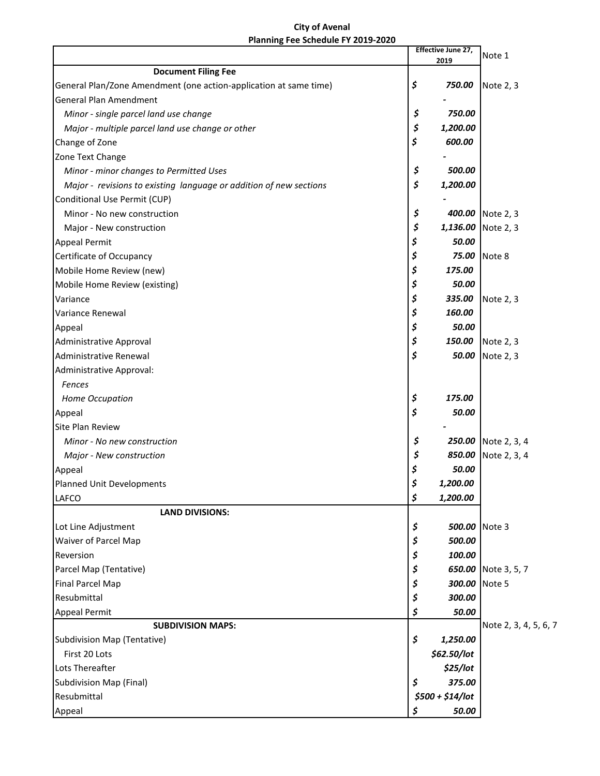## **City of Avenal Planning Fee Schedule FY 2019-2020**

|                                                                                                    |          | Effective June 27, | Note 1                |
|----------------------------------------------------------------------------------------------------|----------|--------------------|-----------------------|
|                                                                                                    |          | 2019               |                       |
| <b>Document Filing Fee</b>                                                                         |          |                    |                       |
| General Plan/Zone Amendment (one action-application at same time)<br><b>General Plan Amendment</b> | \$       | 750.00             | Note 2, 3             |
| Minor - single parcel land use change                                                              | \$       | 750.00             |                       |
|                                                                                                    | \$       | 1,200.00           |                       |
| Major - multiple parcel land use change or other                                                   | \$       | 600.00             |                       |
| Change of Zone                                                                                     |          |                    |                       |
| Zone Text Change                                                                                   |          | 500.00             |                       |
| Minor - minor changes to Permitted Uses                                                            | \$<br>\$ |                    |                       |
| Major - revisions to existing language or addition of new sections                                 |          | 1,200.00           |                       |
| Conditional Use Permit (CUP)                                                                       |          |                    |                       |
| Minor - No new construction                                                                        | \$       |                    | 400.00 Note 2, 3      |
| Major - New construction                                                                           | \$       |                    | 1,136.00 Note 2, 3    |
| <b>Appeal Permit</b>                                                                               | \$       | 50.00              |                       |
| Certificate of Occupancy                                                                           | \$       | 75.00              | Note 8                |
| Mobile Home Review (new)                                                                           | \$       | 175.00             |                       |
| Mobile Home Review (existing)                                                                      | \$       | 50.00              |                       |
| Variance                                                                                           | \$       | 335.00             | Note 2, 3             |
| Variance Renewal                                                                                   | \$       | 160.00             |                       |
| Appeal                                                                                             | \$       | 50.00              |                       |
| Administrative Approval                                                                            | \$       | 150.00             | Note 2, 3             |
| Administrative Renewal                                                                             | \$       | 50.00              | Note 2, 3             |
| Administrative Approval:                                                                           |          |                    |                       |
| <b>Fences</b>                                                                                      |          |                    |                       |
| Home Occupation                                                                                    | \$       | 175.00             |                       |
| Appeal                                                                                             | \$       | 50.00              |                       |
| <b>Site Plan Review</b>                                                                            |          |                    |                       |
| Minor - No new construction                                                                        | \$       |                    | 250.00 Note 2, 3, 4   |
| Major - New construction                                                                           | \$       | 850.00             | Note 2, 3, 4          |
| Appeal                                                                                             | \$       | 50.00              |                       |
| Planned Unit Developments                                                                          | ب        | 1,200.00           |                       |
| <b>LAFCO</b>                                                                                       | \$       | 1,200.00           |                       |
| <b>LAND DIVISIONS:</b>                                                                             |          |                    |                       |
| Lot Line Adjustment                                                                                | \$       | 500.00 Note 3      |                       |
| <b>Waiver of Parcel Map</b>                                                                        | \$       | 500.00             |                       |
| Reversion                                                                                          | \$       | 100.00             |                       |
| Parcel Map (Tentative)                                                                             | \$       |                    | 650.00 Note 3, 5, 7   |
| <b>Final Parcel Map</b>                                                                            | \$       | 300.00 Note 5      |                       |
| Resubmittal                                                                                        | \$       | 300.00             |                       |
| Appeal Permit                                                                                      | \$       | 50.00              |                       |
| <b>SUBDIVISION MAPS:</b>                                                                           |          |                    | Note 2, 3, 4, 5, 6, 7 |
| Subdivision Map (Tentative)                                                                        | \$       | 1,250.00           |                       |
| First 20 Lots                                                                                      |          | \$62.50/lot        |                       |
| Lots Thereafter                                                                                    |          | \$25/lot           |                       |
| Subdivision Map (Final)                                                                            | \$       | 375.00             |                       |
| Resubmittal                                                                                        |          | \$500 + \$14/lot   |                       |
| Appeal                                                                                             | \$       | 50.00              |                       |
|                                                                                                    |          |                    |                       |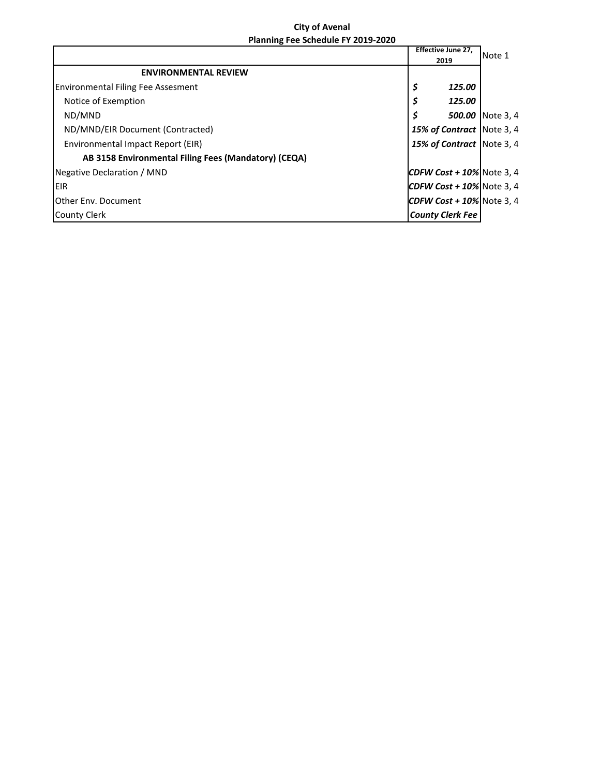## **City of Avenal Planning Fee Schedule FY 2019-2020**

|                                                      | <b>Effective June 27,</b>    | Note 1           |
|------------------------------------------------------|------------------------------|------------------|
|                                                      | 2019                         |                  |
| <b>ENVIRONMENTAL REVIEW</b>                          |                              |                  |
| <b>Environmental Filing Fee Assesment</b>            | \$<br>125.00                 |                  |
| Notice of Exemption                                  | \$<br>125.00                 |                  |
| ND/MND                                               | \$                           | 500.00 Note 3, 4 |
| ND/MND/EIR Document (Contracted)                     | 15% of Contract Note 3, 4    |                  |
| Environmental Impact Report (EIR)                    | 15% of Contract Note 3, 4    |                  |
| AB 3158 Environmental Filing Fees (Mandatory) (CEQA) |                              |                  |
| Negative Declaration / MND                           | CDFW Cost + $10\%$ Note 3, 4 |                  |
| <b>EIR</b>                                           | CDFW Cost + $10\%$ Note 3, 4 |                  |
| <b>I</b> Other Env. Document                         | CDFW Cost + $10\%$ Note 3, 4 |                  |
| County Clerk                                         | <b>County Clerk Fee</b>      |                  |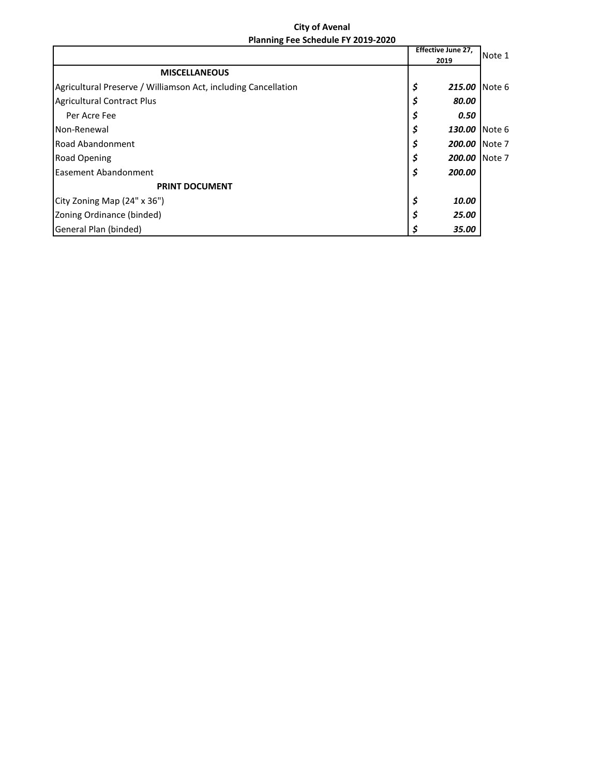## **City of Avenal Planning Fee Schedule FY 2019-2020**

|                                                                |  | <b>Effective June 27,</b> | Note 1  |
|----------------------------------------------------------------|--|---------------------------|---------|
|                                                                |  | 2019                      |         |
| <b>MISCELLANEOUS</b>                                           |  |                           |         |
| Agricultural Preserve / Williamson Act, including Cancellation |  | \$<br>215.00              | INote 6 |
| <b>Agricultural Contract Plus</b>                              |  | 80.00<br>S                |         |
| Per Acre Fee                                                   |  | 0.50                      |         |
| Non-Renewal                                                    |  | S<br>130.00               | Note 6  |
| Road Abandonment                                               |  | 200.00                    | Note 7  |
| <b>Road Opening</b>                                            |  | 200.00                    | Note 7  |
| <b>Easement Abandonment</b>                                    |  | 200.00<br>\$              |         |
| <b>PRINT DOCUMENT</b>                                          |  |                           |         |
| City Zoning Map (24" x 36")                                    |  | \$<br>10.00               |         |
| Zoning Ordinance (binded)                                      |  | 25.00                     |         |
| General Plan (binded)                                          |  | 35.00                     |         |